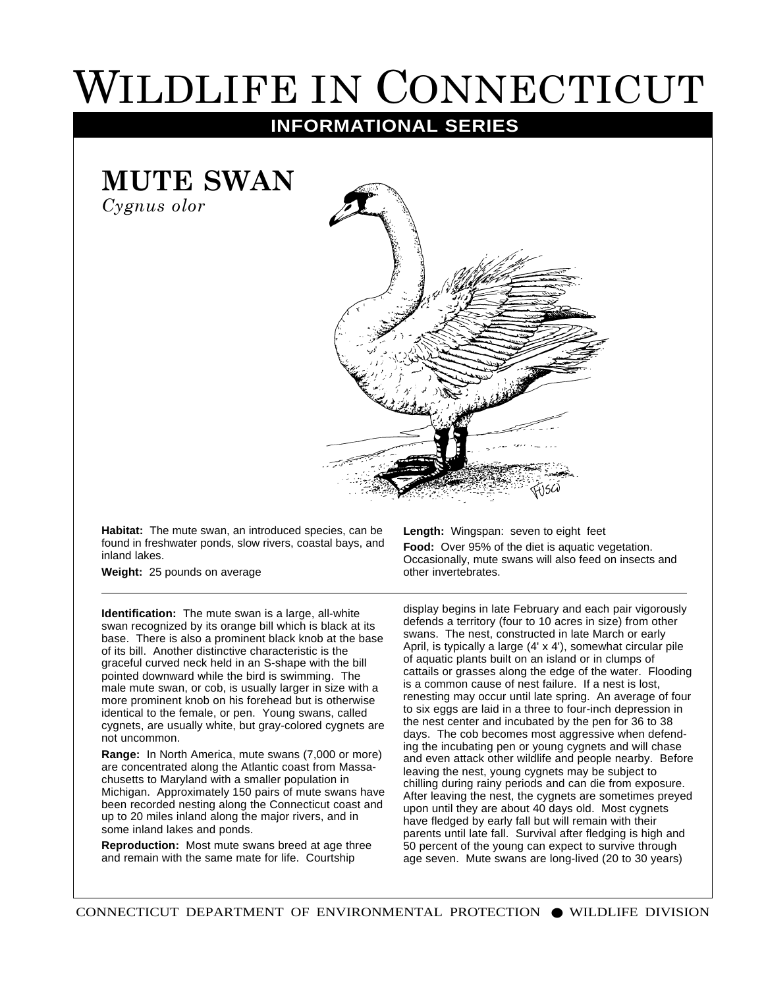## WILDLIFE IN CONNECTICUT

**INFORMATIONAL SERIES**

**MUTE SWAN**

*Cygnus olor*



**Habitat:** The mute swan, an introduced species, can be found in freshwater ponds, slow rivers, coastal bays, and inland lakes.

**Weight:** 25 pounds on average

**Identification:** The mute swan is a large, all-white swan recognized by its orange bill which is black at its base. There is also a prominent black knob at the base of its bill. Another distinctive characteristic is the graceful curved neck held in an S-shape with the bill pointed downward while the bird is swimming. The male mute swan, or cob, is usually larger in size with a more prominent knob on his forehead but is otherwise identical to the female, or pen. Young swans, called cygnets, are usually white, but gray-colored cygnets are not uncommon.

**Range:** In North America, mute swans (7,000 or more) are concentrated along the Atlantic coast from Massachusetts to Maryland with a smaller population in Michigan. Approximately 150 pairs of mute swans have been recorded nesting along the Connecticut coast and up to 20 miles inland along the major rivers, and in some inland lakes and ponds.

**Reproduction:** Most mute swans breed at age three and remain with the same mate for life. Courtship

**Length:** Wingspan: seven to eight feet **Food:** Over 95% of the diet is aquatic vegetation. Occasionally, mute swans will also feed on insects and other invertebrates.

display begins in late February and each pair vigorously defends a territory (four to 10 acres in size) from other swans. The nest, constructed in late March or early April, is typically a large (4' x 4'), somewhat circular pile of aquatic plants built on an island or in clumps of cattails or grasses along the edge of the water. Flooding is a common cause of nest failure. If a nest is lost, renesting may occur until late spring. An average of four to six eggs are laid in a three to four-inch depression in the nest center and incubated by the pen for 36 to 38 days. The cob becomes most aggressive when defending the incubating pen or young cygnets and will chase and even attack other wildlife and people nearby. Before leaving the nest, young cygnets may be subject to chilling during rainy periods and can die from exposure. After leaving the nest, the cygnets are sometimes preyed upon until they are about 40 days old. Most cygnets have fledged by early fall but will remain with their parents until late fall. Survival after fledging is high and 50 percent of the young can expect to survive through age seven. Mute swans are long-lived (20 to 30 years)